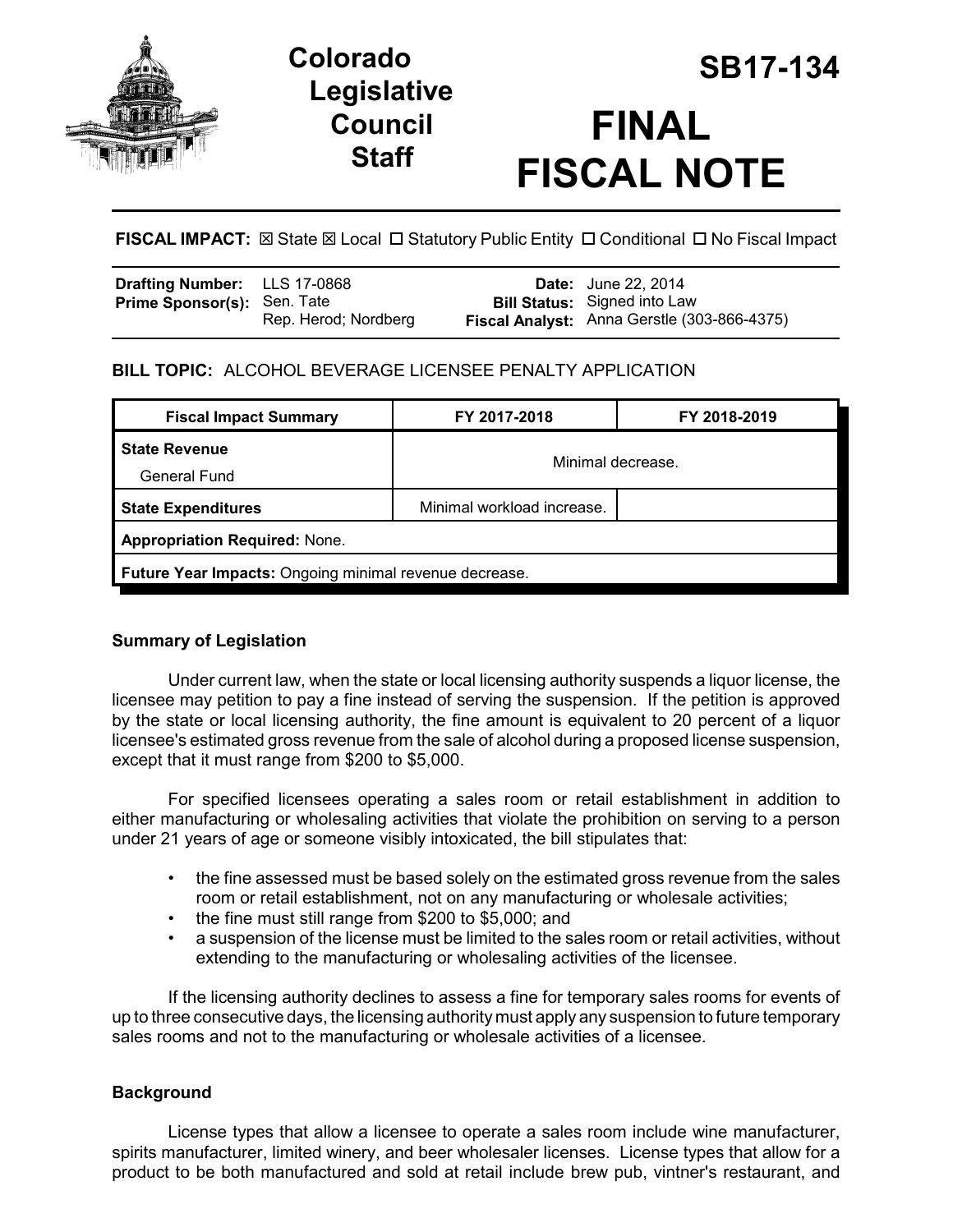

# **Legislative Council Staff**



## **FISCAL IMPACT:** ⊠ State ⊠ Local □ Statutory Public Entity □ Conditional □ No Fiscal Impact

| <b>Drafting Number:</b> LLS 17-0868 |                      | <b>Date:</b> June 22, 2014                  |
|-------------------------------------|----------------------|---------------------------------------------|
| <b>Prime Sponsor(s): Sen. Tate</b>  |                      | <b>Bill Status:</b> Signed into Law         |
|                                     | Rep. Herod; Nordberg | Fiscal Analyst: Anna Gerstle (303-866-4375) |

## **BILL TOPIC:** ALCOHOL BEVERAGE LICENSEE PENALTY APPLICATION

| <b>Fiscal Impact Summary</b>                           | FY 2017-2018               | FY 2018-2019 |  |  |
|--------------------------------------------------------|----------------------------|--------------|--|--|
| <b>State Revenue</b><br>General Fund                   | Minimal decrease.          |              |  |  |
| <b>State Expenditures</b>                              | Minimal workload increase. |              |  |  |
| <b>Appropriation Required: None.</b>                   |                            |              |  |  |
| Future Year Impacts: Ongoing minimal revenue decrease. |                            |              |  |  |

## **Summary of Legislation**

Under current law, when the state or local licensing authority suspends a liquor license, the licensee may petition to pay a fine instead of serving the suspension. If the petition is approved by the state or local licensing authority, the fine amount is equivalent to 20 percent of a liquor licensee's estimated gross revenue from the sale of alcohol during a proposed license suspension, except that it must range from \$200 to \$5,000.

For specified licensees operating a sales room or retail establishment in addition to either manufacturing or wholesaling activities that violate the prohibition on serving to a person under 21 years of age or someone visibly intoxicated, the bill stipulates that:

- the fine assessed must be based solely on the estimated gross revenue from the sales room or retail establishment, not on any manufacturing or wholesale activities;
- the fine must still range from \$200 to \$5,000; and
- a suspension of the license must be limited to the sales room or retail activities, without extending to the manufacturing or wholesaling activities of the licensee.

If the licensing authority declines to assess a fine for temporary sales rooms for events of up to three consecutive days, the licensing authority must apply any suspension to future temporary sales rooms and not to the manufacturing or wholesale activities of a licensee.

## **Background**

License types that allow a licensee to operate a sales room include wine manufacturer, spirits manufacturer, limited winery, and beer wholesaler licenses. License types that allow for a product to be both manufactured and sold at retail include brew pub, vintner's restaurant, and